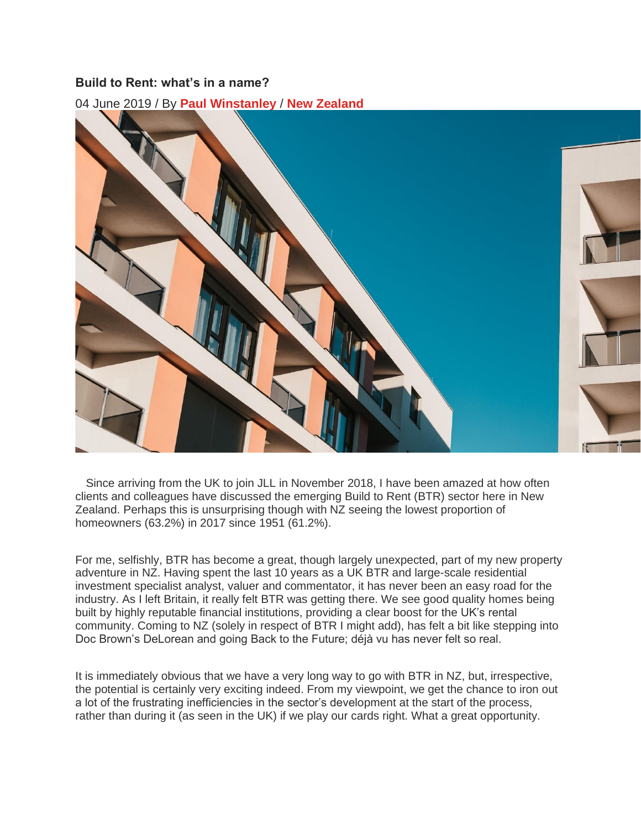## **Build to Rent: what's in a name?**

04 June 2019 / By **Paul [Winstanley](http://www.jllapsites.com/research/author/paul-winstanley/)** / **New [Zealand](http://www.jllapsites.com/research/geographies/new-zealand/)**



 Since arriving from the UK to join JLL in November 2018, I have been amazed at how often clients and colleagues have discussed the emerging Build to Rent (BTR) sector here in New Zealand. Perhaps this is unsurprising though with NZ seeing the lowest proportion of homeowners (63.2%) in 2017 since 1951 (61.2%).

For me, selfishly, BTR has become a great, though largely unexpected, part of my new property adventure in NZ. Having spent the last 10 years as a UK BTR and large-scale residential investment specialist analyst, valuer and commentator, it has never been an easy road for the industry. As I left Britain, it really felt BTR was getting there. We see good quality homes being built by highly reputable financial institutions, providing a clear boost for the UK's rental community. Coming to NZ (solely in respect of BTR I might add), has felt a bit like stepping into Doc Brown's DeLorean and going Back to the Future; déjà vu has never felt so real.

It is immediately obvious that we have a very long way to go with BTR in NZ, but, irrespective, the potential is certainly very exciting indeed. From my viewpoint, we get the chance to iron out a lot of the frustrating inefficiencies in the sector's development at the start of the process, rather than during it (as seen in the UK) if we play our cards right. What a great opportunity.